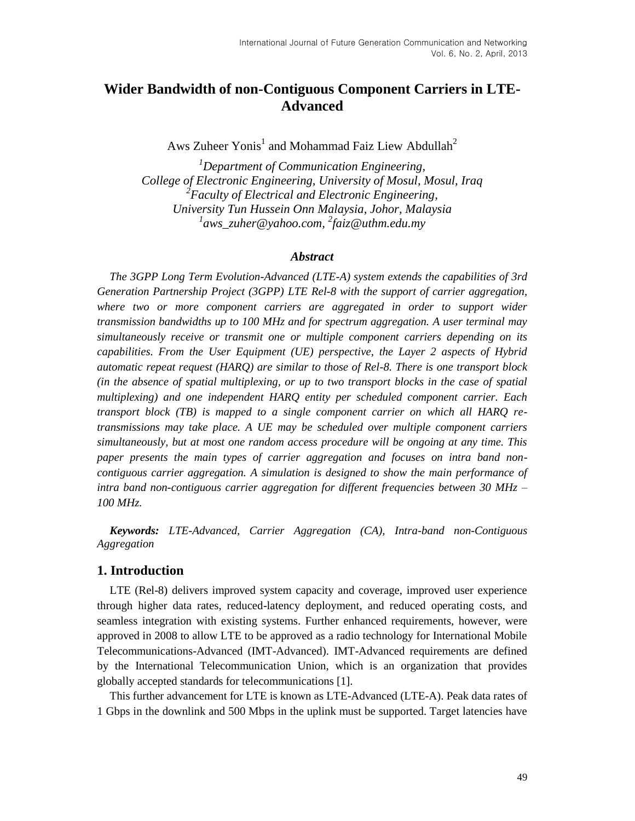# **Wider Bandwidth of non-Contiguous Component Carriers in LTE-Advanced**

Aws Zuheer Yonis<sup>1</sup> and Mohammad Faiz Liew Abdullah<sup>2</sup>

*<sup>1</sup>Department of Communication Engineering, College of Electronic Engineering, University of Mosul, Mosul, Iraq 2 Faculty of Electrical and Electronic Engineering, University Tun Hussein Onn Malaysia, Johor, Malaysia 1 aws\_zuher@yahoo.com, <sup>2</sup> faiz@uthm.edu.my*

#### *Abstract*

*The 3GPP Long Term Evolution-Advanced (LTE-A) system extends the capabilities of 3rd Generation Partnership Project (3GPP) LTE Rel-8 with the support of carrier aggregation, where two or more component carriers are aggregated in order to support wider transmission bandwidths up to 100 MHz and for spectrum aggregation. A user terminal may simultaneously receive or transmit one or multiple component carriers depending on its capabilities. From the User Equipment (UE) perspective, the Layer 2 aspects of Hybrid automatic repeat request (HARQ) are similar to those of Rel-8. There is one transport block (in the absence of spatial multiplexing, or up to two transport blocks in the case of spatial multiplexing) and one independent HARQ entity per scheduled component carrier. Each transport block (TB) is mapped to a single component carrier on which all HARQ retransmissions may take place. A UE may be scheduled over multiple component carriers simultaneously, but at most one random access procedure will be ongoing at any time. This paper presents the main types of carrier aggregation and focuses on intra band noncontiguous carrier aggregation. A simulation is designed to show the main performance of intra band non-contiguous carrier aggregation for different frequencies between 30 MHz – 100 MHz.*

*Keywords: LTE-Advanced, Carrier Aggregation (CA), Intra-band non-Contiguous Aggregation*

### **1. Introduction**

LTE (Rel-8) delivers improved system capacity and coverage, improved user experience through higher data rates, reduced-latency deployment, and reduced operating costs, and seamless integration with existing systems. Further enhanced requirements, however, were approved in 2008 to allow LTE to be approved as a radio technology for International Mobile Telecommunications-Advanced (IMT-Advanced). IMT-Advanced requirements are defined by the International Telecommunication Union, which is an organization that provides globally accepted standards for telecommunications [1].

This further advancement for LTE is known as LTE-Advanced (LTE-A). Peak data rates of 1 Gbps in the downlink and 500 Mbps in the uplink must be supported. Target latencies have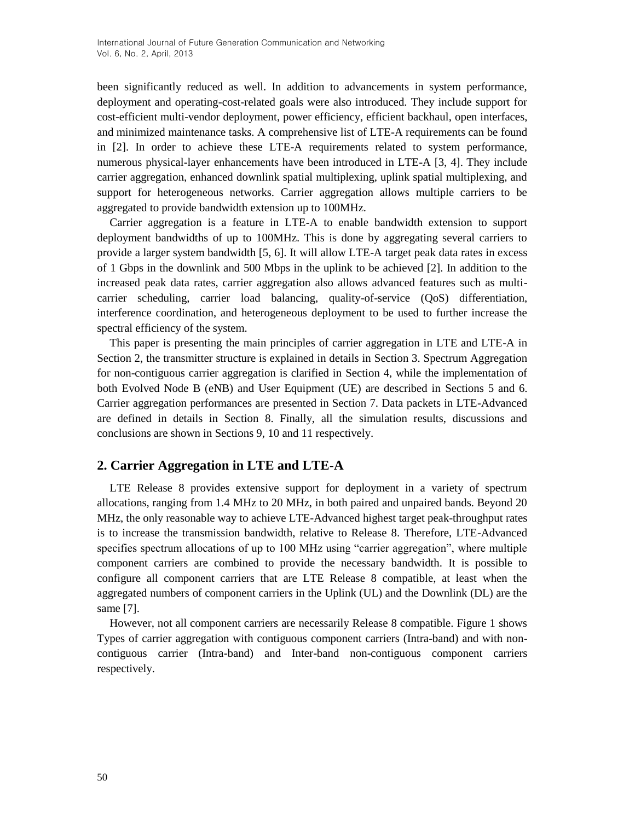been significantly reduced as well. In addition to advancements in system performance, deployment and operating-cost-related goals were also introduced. They include support for cost-efficient multi-vendor deployment, power efficiency, efficient backhaul, open interfaces, and minimized maintenance tasks. A comprehensive list of LTE-A requirements can be found in [2]. In order to achieve these LTE-A requirements related to system performance, numerous physical-layer enhancements have been introduced in LTE-A [3, 4]. They include carrier aggregation, enhanced downlink spatial multiplexing, uplink spatial multiplexing, and support for heterogeneous networks. Carrier aggregation allows multiple carriers to be aggregated to provide bandwidth extension up to 100MHz.

Carrier aggregation is a feature in LTE-A to enable bandwidth extension to support deployment bandwidths of up to 100MHz. This is done by aggregating several carriers to provide a larger system bandwidth [5, 6]. It will allow LTE-A target peak data rates in excess of 1 Gbps in the downlink and 500 Mbps in the uplink to be achieved [2]. In addition to the increased peak data rates, carrier aggregation also allows advanced features such as multicarrier scheduling, carrier load balancing, quality-of-service (QoS) differentiation, interference coordination, and heterogeneous deployment to be used to further increase the spectral efficiency of the system.

This paper is presenting the main principles of carrier aggregation in LTE and LTE-A in Section 2, the transmitter structure is explained in details in Section 3. Spectrum Aggregation for non-contiguous carrier aggregation is clarified in Section 4, while the implementation of both Evolved Node B (eNB) and User Equipment (UE) are described in Sections 5 and 6. Carrier aggregation performances are presented in Section 7. Data packets in LTE-Advanced are defined in details in Section 8. Finally, all the simulation results, discussions and conclusions are shown in Sections 9, 10 and 11 respectively.

### **2. Carrier Aggregation in LTE and LTE-A**

LTE Release 8 provides extensive support for deployment in a variety of spectrum allocations, ranging from 1.4 MHz to 20 MHz, in both paired and unpaired bands. Beyond 20 MHz, the only reasonable way to achieve LTE-Advanced highest target peak-throughput rates is to increase the transmission bandwidth, relative to Release 8. Therefore, LTE-Advanced specifies spectrum allocations of up to 100 MHz using "carrier aggregation", where multiple component carriers are combined to provide the necessary bandwidth. It is possible to configure all component carriers that are LTE Release 8 compatible, at least when the aggregated numbers of component carriers in the Uplink (UL) and the Downlink (DL) are the same [7].

However, not all component carriers are necessarily Release 8 compatible. Figure 1 shows Types of carrier aggregation with contiguous component carriers (Intra-band) and with noncontiguous carrier (Intra-band) and Inter-band non-contiguous component carriers respectively.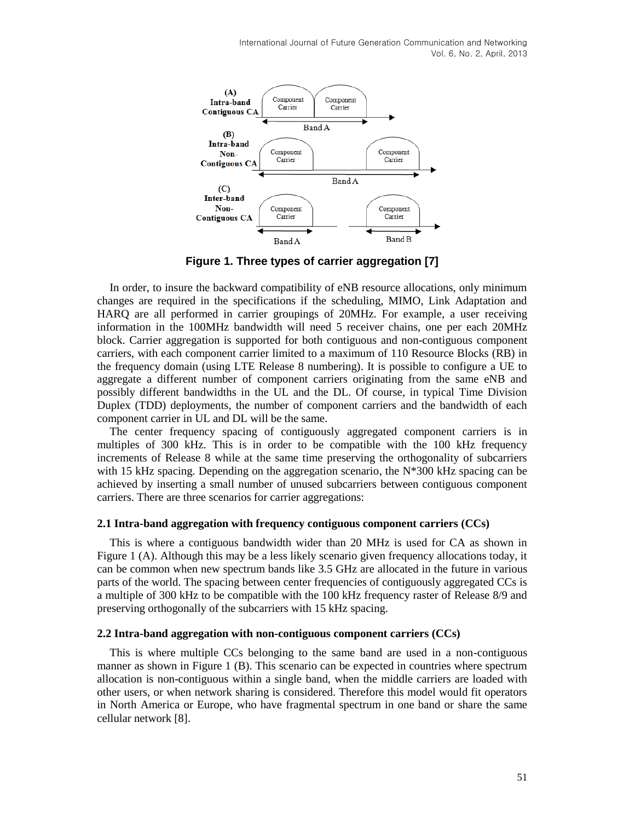

**Figure 1. Three types of carrier aggregation [7]**

In order, to insure the backward compatibility of eNB resource allocations, only minimum changes are required in the specifications if the scheduling, MIMO, Link Adaptation and HARQ are all performed in carrier groupings of 20MHz. For example, a user receiving information in the 100MHz bandwidth will need 5 receiver chains, one per each 20MHz block. Carrier aggregation is supported for both contiguous and non-contiguous component carriers, with each component carrier limited to a maximum of 110 Resource Blocks (RB) in the frequency domain (using LTE Release 8 numbering). It is possible to configure a UE to aggregate a different number of component carriers originating from the same eNB and possibly different bandwidths in the UL and the DL. Of course, in typical Time Division Duplex (TDD) deployments, the number of component carriers and the bandwidth of each component carrier in UL and DL will be the same.

The center frequency spacing of contiguously aggregated component carriers is in multiples of 300 kHz. This is in order to be compatible with the 100 kHz frequency increments of Release 8 while at the same time preserving the orthogonality of subcarriers with 15 kHz spacing. Depending on the aggregation scenario, the N<sup>\*300</sup> kHz spacing can be achieved by inserting a small number of unused subcarriers between contiguous component carriers. There are three scenarios for carrier aggregations:

#### **2.1 Intra-band aggregation with frequency contiguous component carriers (CCs)**

This is where a contiguous bandwidth wider than 20 MHz is used for CA as shown in Figure 1 (A). Although this may be a less likely scenario given frequency allocations today, it can be common when new spectrum bands like 3.5 GHz are allocated in the future in various parts of the world. The spacing between center frequencies of contiguously aggregated CCs is a multiple of 300 kHz to be compatible with the 100 kHz frequency raster of Release 8/9 and preserving orthogonally of the subcarriers with 15 kHz spacing.

#### **2.2 Intra-band aggregation with non-contiguous component carriers (CCs)**

This is where multiple CCs belonging to the same band are used in a non-contiguous manner as shown in Figure 1 (B). This scenario can be expected in countries where spectrum allocation is non-contiguous within a single band, when the middle carriers are loaded with other users, or when network sharing is considered. Therefore this model would fit operators in North America or Europe, who have fragmental spectrum in one band or share the same cellular network [8].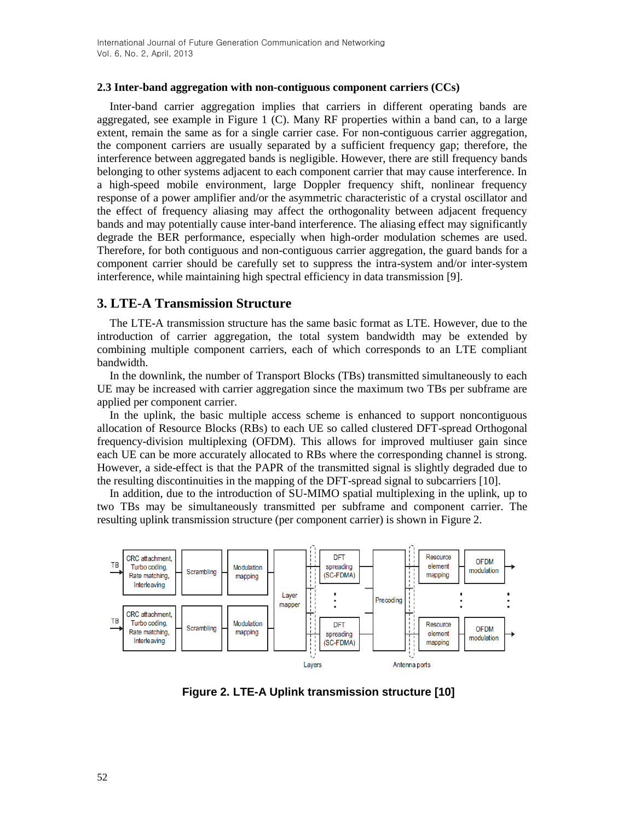#### **2.3 Inter-band aggregation with non-contiguous component carriers (CCs)**

Inter-band carrier aggregation implies that carriers in different operating bands are aggregated, see example in Figure 1 (C). Many RF properties within a band can, to a large extent, remain the same as for a single carrier case. For non-contiguous carrier aggregation, the component carriers are usually separated by a sufficient frequency gap; therefore, the interference between aggregated bands is negligible. However, there are still frequency bands belonging to other systems adjacent to each component carrier that may cause interference. In a high-speed mobile environment, large Doppler frequency shift, nonlinear frequency response of a power amplifier and/or the asymmetric characteristic of a crystal oscillator and the effect of frequency aliasing may affect the orthogonality between adjacent frequency bands and may potentially cause inter-band interference. The aliasing effect may significantly degrade the BER performance, especially when high-order modulation schemes are used. Therefore, for both contiguous and non-contiguous carrier aggregation, the guard bands for a component carrier should be carefully set to suppress the intra-system and/or inter-system interference, while maintaining high spectral efficiency in data transmission [9].

### **3. LTE-A Transmission Structure**

The LTE-A transmission structure has the same basic format as LTE. However, due to the introduction of carrier aggregation, the total system bandwidth may be extended by combining multiple component carriers, each of which corresponds to an LTE compliant bandwidth.

In the downlink, the number of Transport Blocks (TBs) transmitted simultaneously to each UE may be increased with carrier aggregation since the maximum two TBs per subframe are applied per component carrier.

In the uplink, the basic multiple access scheme is enhanced to support noncontiguous allocation of Resource Blocks (RBs) to each UE so called clustered DFT-spread Orthogonal frequency-division multiplexing (OFDM). This allows for improved multiuser gain since each UE can be more accurately allocated to RBs where the corresponding channel is strong. However, a side-effect is that the PAPR of the transmitted signal is slightly degraded due to the resulting discontinuities in the mapping of the DFT-spread signal to subcarriers [10].

In addition, due to the introduction of SU-MIMO spatial multiplexing in the uplink, up to two TBs may be simultaneously transmitted per subframe and component carrier. The resulting uplink transmission structure (per component carrier) is shown in Figure 2.



**Figure 2. LTE-A Uplink transmission structure [10]**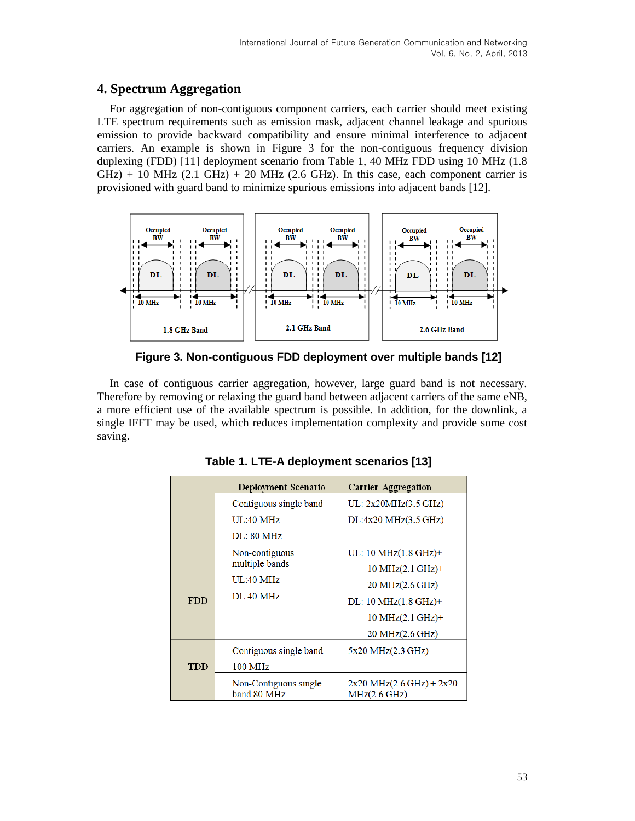# **4. Spectrum Aggregation**

For aggregation of non-contiguous component carriers, each carrier should meet existing LTE spectrum requirements such as emission mask, adjacent channel leakage and spurious emission to provide backward compatibility and ensure minimal interference to adjacent carriers. An example is shown in Figure 3 for the non-contiguous frequency division duplexing (FDD) [11] deployment scenario from Table 1, 40 MHz FDD using 10 MHz (1.8  $GHz$ ) + 10 MHz (2.1 GHz) + 20 MHz (2.6 GHz). In this case, each component carrier is provisioned with guard band to minimize spurious emissions into adjacent bands [12].



**Figure 3. Non-contiguous FDD deployment over multiple bands [12]**

In case of contiguous carrier aggregation, however, large guard band is not necessary. Therefore by removing or relaxing the guard band between adjacent carriers of the same eNB, a more efficient use of the available spectrum is possible. In addition, for the downlink, a single IFFT may be used, which reduces implementation complexity and provide some cost saving.

| Deployment Scenario                  |                                                   | <b>Carrier Aggregation</b>                                                                                   |                           |  |                     |
|--------------------------------------|---------------------------------------------------|--------------------------------------------------------------------------------------------------------------|---------------------------|--|---------------------|
|                                      | Contiguous single band                            | UL: 2x20MHz(3.5 GHz)                                                                                         |                           |  |                     |
|                                      | <b>UL:40 MHz</b>                                  | DL:4x20 MHz(3.5 GHz)                                                                                         |                           |  |                     |
|                                      | DL: 80 MHz                                        |                                                                                                              |                           |  |                     |
| <b>FDD</b>                           | Non-contiguous                                    | UL: $10 \text{ MHz} (1.8 \text{ GHz})+$<br>10 MHz(2.1 GHz)+<br>20 MHz $(2.6$ GHz)<br>$DL: 10 MHz(1.8 GHz)$ + |                           |  |                     |
|                                      | multiple bands<br><b>UL:40 MHz</b><br>$DL:40$ MHz |                                                                                                              |                           |  |                     |
|                                      |                                                   |                                                                                                              |                           |  | $10 MHz(2.1 GHz)$ + |
|                                      |                                                   |                                                                                                              |                           |  | 20 MHz $(2.6$ GHz)  |
|                                      | <b>TDD</b>                                        | Contiguous single band                                                                                       | $5x20$ MHz $(2.3$ GHz $)$ |  |                     |
|                                      |                                                   | 100 MHz                                                                                                      |                           |  |                     |
| Non-Contiguous single<br>band 80 MHz |                                                   | $2x20 \text{ MHz} (2.6 \text{ GHz}) + 2x20$<br>MHz(2.6 GHz)                                                  |                           |  |                     |

**Table 1. LTE-A deployment scenarios [13]**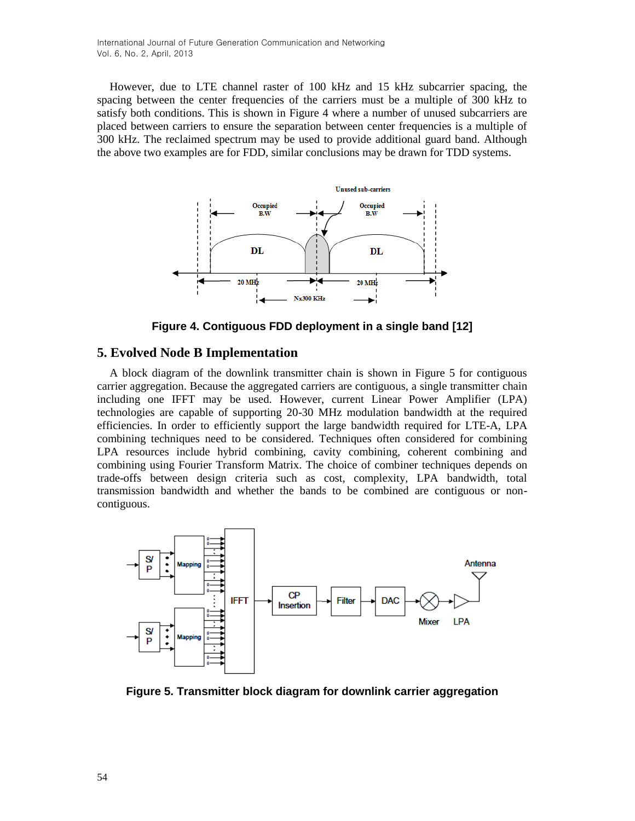However, due to LTE channel raster of 100 kHz and 15 kHz subcarrier spacing, the spacing between the center frequencies of the carriers must be a multiple of 300 kHz to satisfy both conditions. This is shown in Figure 4 where a number of unused subcarriers are placed between carriers to ensure the separation between center frequencies is a multiple of 300 kHz. The reclaimed spectrum may be used to provide additional guard band. Although the above two examples are for FDD, similar conclusions may be drawn for TDD systems.



**Figure 4. Contiguous FDD deployment in a single band [12]**

### **5. Evolved Node B Implementation**

A block diagram of the downlink transmitter chain is shown in Figure 5 for contiguous carrier aggregation. Because the aggregated carriers are contiguous, a single transmitter chain including one IFFT may be used. However, current Linear Power Amplifier (LPA) technologies are capable of supporting 20-30 MHz modulation bandwidth at the required efficiencies. In order to efficiently support the large bandwidth required for LTE-A, LPA combining techniques need to be considered. Techniques often considered for combining LPA resources include hybrid combining, cavity combining, coherent combining and combining using Fourier Transform Matrix. The choice of combiner techniques depends on trade-offs between design criteria such as cost, complexity, LPA bandwidth, total transmission bandwidth and whether the bands to be combined are contiguous or noncontiguous.



**Figure 5. Transmitter block diagram for downlink carrier aggregation**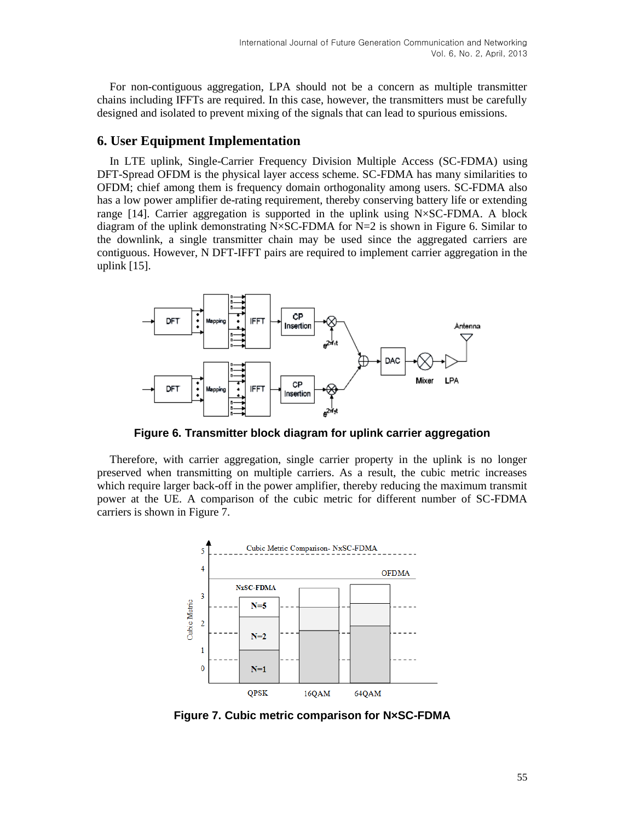For non-contiguous aggregation, LPA should not be a concern as multiple transmitter chains including IFFTs are required. In this case, however, the transmitters must be carefully designed and isolated to prevent mixing of the signals that can lead to spurious emissions.

#### **6. User Equipment Implementation**

In LTE uplink, Single-Carrier Frequency Division Multiple Access (SC-FDMA) using DFT-Spread OFDM is the physical layer access scheme. SC-FDMA has many similarities to OFDM; chief among them is frequency domain orthogonality among users. SC-FDMA also has a low power amplifier de-rating requirement, thereby conserving battery life or extending range  $[14]$ . Carrier aggregation is supported in the uplink using N×SC-FDMA. A block diagram of the uplink demonstrating  $N \times SC$ -FDMA for  $N=2$  is shown in Figure 6. Similar to the downlink, a single transmitter chain may be used since the aggregated carriers are contiguous. However, N DFT-IFFT pairs are required to implement carrier aggregation in the uplink [15].



**Figure 6. Transmitter block diagram for uplink carrier aggregation**

Therefore, with carrier aggregation, single carrier property in the uplink is no longer preserved when transmitting on multiple carriers. As a result, the cubic metric increases which require larger back-off in the power amplifier, thereby reducing the maximum transmit power at the UE. A comparison of the cubic metric for different number of SC-FDMA carriers is shown in Figure 7.



**Figure 7. Cubic metric comparison for N×SC-FDMA**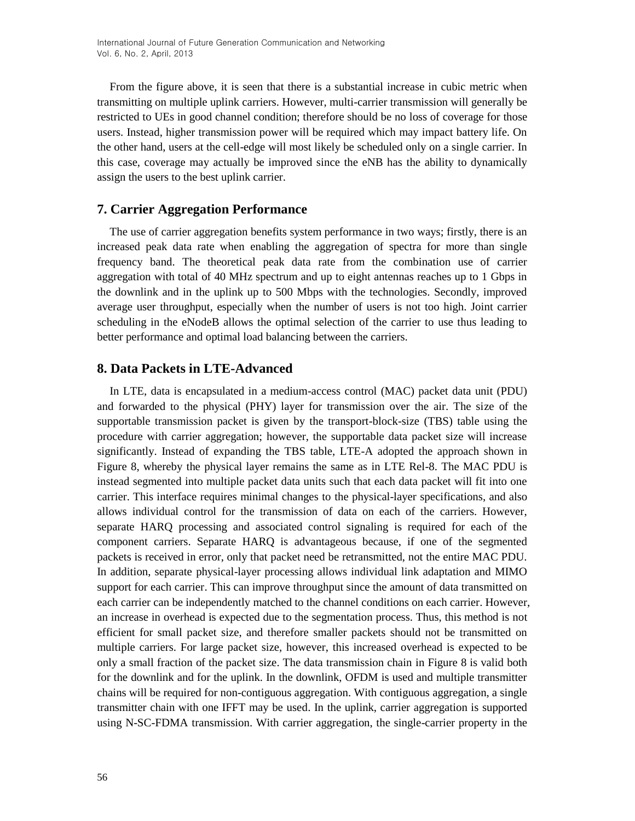From the figure above, it is seen that there is a substantial increase in cubic metric when transmitting on multiple uplink carriers. However, multi-carrier transmission will generally be restricted to UEs in good channel condition; therefore should be no loss of coverage for those users. Instead, higher transmission power will be required which may impact battery life. On the other hand, users at the cell-edge will most likely be scheduled only on a single carrier. In this case, coverage may actually be improved since the eNB has the ability to dynamically assign the users to the best uplink carrier.

## **7. Carrier Aggregation Performance**

The use of carrier aggregation benefits system performance in two ways; firstly, there is an increased peak data rate when enabling the aggregation of spectra for more than single frequency band. The theoretical peak data rate from the combination use of carrier aggregation with total of 40 MHz spectrum and up to eight antennas reaches up to 1 Gbps in the downlink and in the uplink up to 500 Mbps with the technologies. Secondly, improved average user throughput, especially when the number of users is not too high. Joint carrier scheduling in the eNodeB allows the optimal selection of the carrier to use thus leading to better performance and optimal load balancing between the carriers.

# **8. Data Packets in LTE-Advanced**

In LTE, data is encapsulated in a medium-access control (MAC) packet data unit (PDU) and forwarded to the physical (PHY) layer for transmission over the air. The size of the supportable transmission packet is given by the transport-block-size (TBS) table using the procedure with carrier aggregation; however, the supportable data packet size will increase significantly. Instead of expanding the TBS table, LTE-A adopted the approach shown in Figure 8, whereby the physical layer remains the same as in LTE Rel-8. The MAC PDU is instead segmented into multiple packet data units such that each data packet will fit into one carrier. This interface requires minimal changes to the physical-layer specifications, and also allows individual control for the transmission of data on each of the carriers. However, separate HARQ processing and associated control signaling is required for each of the component carriers. Separate HARQ is advantageous because, if one of the segmented packets is received in error, only that packet need be retransmitted, not the entire MAC PDU. In addition, separate physical-layer processing allows individual link adaptation and MIMO support for each carrier. This can improve throughput since the amount of data transmitted on each carrier can be independently matched to the channel conditions on each carrier. However, an increase in overhead is expected due to the segmentation process. Thus, this method is not efficient for small packet size, and therefore smaller packets should not be transmitted on multiple carriers. For large packet size, however, this increased overhead is expected to be only a small fraction of the packet size. The data transmission chain in Figure 8 is valid both for the downlink and for the uplink. In the downlink, OFDM is used and multiple transmitter chains will be required for non-contiguous aggregation. With contiguous aggregation, a single transmitter chain with one IFFT may be used. In the uplink, carrier aggregation is supported using N-SC-FDMA transmission. With carrier aggregation, the single-carrier property in the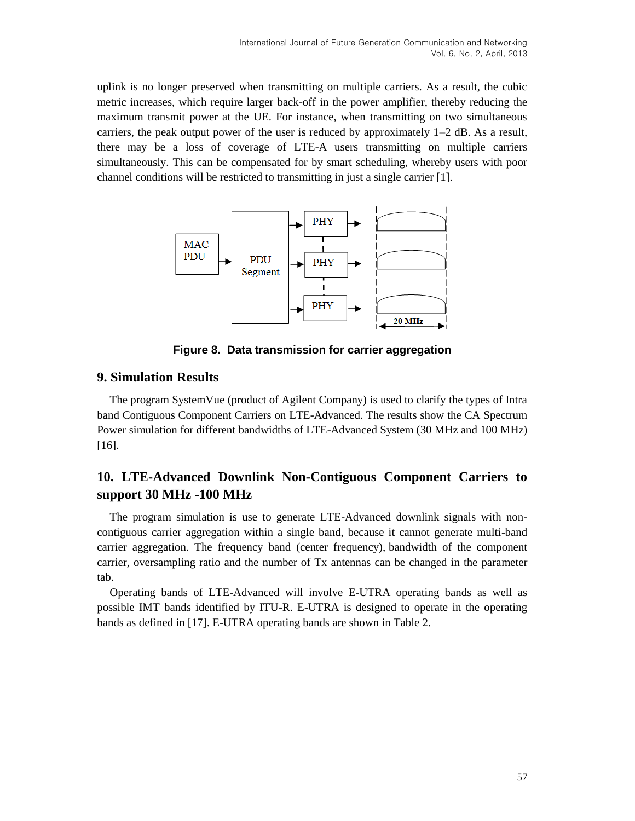uplink is no longer preserved when transmitting on multiple carriers. As a result, the cubic metric increases, which require larger back-off in the power amplifier, thereby reducing the maximum transmit power at the UE. For instance, when transmitting on two simultaneous carriers, the peak output power of the user is reduced by approximately 1–2 dB. As a result, there may be a loss of coverage of LTE-A users transmitting on multiple carriers simultaneously. This can be compensated for by smart scheduling, whereby users with poor channel conditions will be restricted to transmitting in just a single carrier [1].



**Figure 8. Data transmission for carrier aggregation**

### **9. Simulation Results**

The program SystemVue (product of Agilent Company) is used to clarify the types of Intra band Contiguous Component Carriers on LTE-Advanced. The results show the CA Spectrum Power simulation for different bandwidths of LTE-Advanced System (30 MHz and 100 MHz) [16].

# **10. LTE-Advanced Downlink Non-Contiguous Component Carriers to support 30 MHz -100 MHz**

The program simulation is use to generate LTE-Advanced downlink signals with noncontiguous carrier aggregation within a single band, because it cannot generate multi-band carrier aggregation. The frequency band (center frequency), bandwidth of the component carrier, oversampling ratio and the number of Tx antennas can be changed in the parameter tab.

Operating bands of LTE-Advanced will involve E-UTRA operating bands as well as possible IMT bands identified by ITU-R. E-UTRA is designed to operate in the operating bands as defined in [17]. E-UTRA operating bands are shown in Table 2.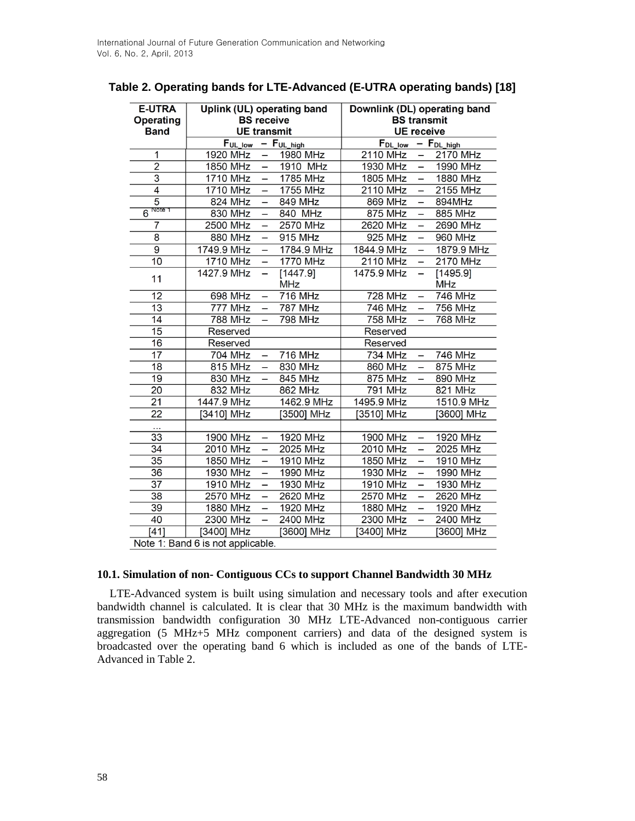| <b>E-UTRA</b><br>Operating<br><b>Band</b> | <b>Uplink (UL) operating band</b><br><b>BS</b> receive<br><b>UE</b> transmit |                          | Downlink (DL) operating band<br><b>BS</b> transmit<br><b>UE</b> receive |                                             |  |
|-------------------------------------------|------------------------------------------------------------------------------|--------------------------|-------------------------------------------------------------------------|---------------------------------------------|--|
|                                           | FUL low                                                                      | $-$ F <sub>UL_high</sub> | F <sub>DL</sub> low                                                     | $-$ F <sub>DL_high</sub>                    |  |
| 1                                         | <b>1920 MHz</b>                                                              | 1980 MHz                 | 2110 MHz                                                                | <b>2170 MHz</b>                             |  |
| $\overline{2}$                            | <b>1850 MHz</b><br>—                                                         | 1910 MHz                 | 1930 MHz                                                                | 1990 MHz<br>—                               |  |
| $\overline{3}$                            | <b>1710 MHz</b>                                                              | 1785 MHz                 | <b>1805 MHz</b>                                                         | 1880 MHz                                    |  |
| $\overline{4}$                            | <b>1710 MHz</b>                                                              | <b>1755 MHz</b>          | <b>2110 MHz</b>                                                         | <b>2155 MHz</b>                             |  |
| $\overline{5}$                            | <b>824 MHz</b>                                                               | <b>849 MHz</b>           | <b>869 MHz</b>                                                          | 894MHz                                      |  |
| $6^{Note 1}$                              | 830 MHz                                                                      | 840 MHz                  | <b>875 MHz</b>                                                          | <b>885 MHz</b>                              |  |
| 7                                         | <b>2500 MHz</b><br>$\overline{\phantom{0}}$                                  | <b>2570 MHz</b>          | <b>2620 MHz</b>                                                         | <b>2690 MHz</b><br>$\overline{a}$           |  |
| $\overline{8}$                            | <b>880 MHz</b><br>$\overline{\phantom{0}}$                                   | 915 MHz                  | 925 MHz                                                                 | <b>960 MHz</b><br>$\overline{a}$            |  |
| $\overline{9}$                            | 1749.9 MHz<br>$\overline{a}$                                                 | 1784.9 MHz               | 1844.9 MHz                                                              | 1879.9 MHz<br>$\overline{a}$                |  |
| $\overline{10}$                           | <b>1710 MHz</b><br>$\overline{a}$                                            | <b>1770 MHz</b>          | <b>2110 MHz</b>                                                         | $\equiv$<br><b>2170 MHz</b>                 |  |
| 11                                        | 1427.9 MHz<br>$\equiv$                                                       | [1447.9]<br><b>MHz</b>   | 1475.9 MHz                                                              | [1495.9]<br>$\equiv$<br><b>MHz</b>          |  |
| $\overline{12}$                           | <b>698 MHz</b><br>$\overline{\phantom{0}}$                                   | <b>716 MHz</b>           | <b>728 MHz</b>                                                          | <b>746 MHz</b><br>$\qquad \qquad -$         |  |
| 13                                        | <b>777 MHz</b><br>$\overline{\phantom{0}}$                                   | <b>787 MHz</b>           | 746 MHz                                                                 | <b>756 MHz</b><br>$\overline{\phantom{0}}$  |  |
| 14                                        | <b>788 MHz</b><br>—                                                          | 798 MHz                  | <b>758 MHz</b>                                                          | 768 MHz<br>—                                |  |
| $\overline{15}$                           | Reserved                                                                     |                          | Reserved                                                                |                                             |  |
| $\overline{16}$                           | Reserved                                                                     |                          | Reserved                                                                |                                             |  |
| $\overline{17}$                           | 704 MHz<br>—                                                                 | 716 MHz                  | 734 MHz                                                                 | 746 MHz<br>-                                |  |
| 18                                        | 815 MHz                                                                      | 830 MHz                  | 860 MHz                                                                 | 875 MHz<br>$\overline{\phantom{0}}$         |  |
| 19                                        | 830 MHz                                                                      | 845 MHz                  | <b>875 MHz</b>                                                          | 890 MHz                                     |  |
| $\overline{20}$                           | 832 MHz                                                                      | <b>862 MHz</b>           | <b>791 MHz</b>                                                          | 821 MHz                                     |  |
| $\overline{21}$                           | 1447.9 MHz                                                                   | 1462.9 MHz               | 1495.9 MHz                                                              | 1510.9 MHz                                  |  |
| $\overline{22}$                           | [3410] MHz                                                                   | [3500] MHz               | [3510] MHz                                                              | [3600] MHz                                  |  |
|                                           |                                                                              |                          |                                                                         |                                             |  |
| $\overline{33}$                           | <b>1900 MHz</b><br>$\equiv$                                                  | <b>1920 MHz</b>          | <b>1900 MHz</b>                                                         | <b>1920 MHz</b><br>$\overline{\phantom{0}}$ |  |
| 34                                        | <b>2010 MHz</b><br>$\overline{a}$                                            | <b>2025 MHz</b>          | <b>2010 MHz</b>                                                         | <b>2025 MHz</b><br>$\overline{\phantom{0}}$ |  |
| 35                                        | 1850 MHz<br>$\overline{\phantom{0}}$                                         | 1910 MHz                 | <b>1850 MHz</b>                                                         | <b>1910 MHz</b><br>$\overline{a}$           |  |
| 36                                        | <b>1930 MHz</b><br>$\overline{\phantom{0}}$                                  | <b>1990 MHz</b>          | 1930 MHz                                                                | <b>1990 MHz</b><br>$\overline{\phantom{0}}$ |  |
| 37                                        | 1910 MHz<br>$\overline{\phantom{0}}$                                         | 1930 MHz                 | 1910 MHz                                                                | 1930 MHz<br>$\overline{\phantom{0}}$        |  |
| 38                                        | 2570 MHz<br>$\overline{\phantom{0}}$                                         | 2620 MHz                 | <b>2570 MHz</b>                                                         | 2620 MHz<br>$\overline{\phantom{0}}$        |  |
| 39                                        | 1880 MHz<br>$\overline{\phantom{0}}$                                         | 1920 MHz                 | 1880 MHz                                                                | <b>1920 MHz</b><br>-                        |  |
| 40                                        | 2300 MHz<br>$\overline{\phantom{0}}$                                         | 2400 MHz                 | 2300 MHz                                                                | 2400 MHz<br>$\overline{\phantom{0}}$        |  |
| $\overline{[41]}$                         | [3400] MHz                                                                   | [3600] MHz               | 3400] MHz                                                               | [3600] MHz                                  |  |
| Note 1: Band 6 is not applicable.         |                                                                              |                          |                                                                         |                                             |  |

## **Table 2. Operating bands for LTE-Advanced (E-UTRA operating bands) [18]**

#### **10.1. Simulation of non- Contiguous CCs to support Channel Bandwidth 30 MHz**

LTE-Advanced system is built using simulation and necessary tools and after execution bandwidth channel is calculated. It is clear that 30 MHz is the maximum bandwidth with transmission bandwidth configuration 30 MHz LTE-Advanced non-contiguous carrier aggregation (5 MHz+5 MHz component carriers) and data of the designed system is broadcasted over the operating band 6 which is included as one of the bands of LTE-Advanced in Table 2.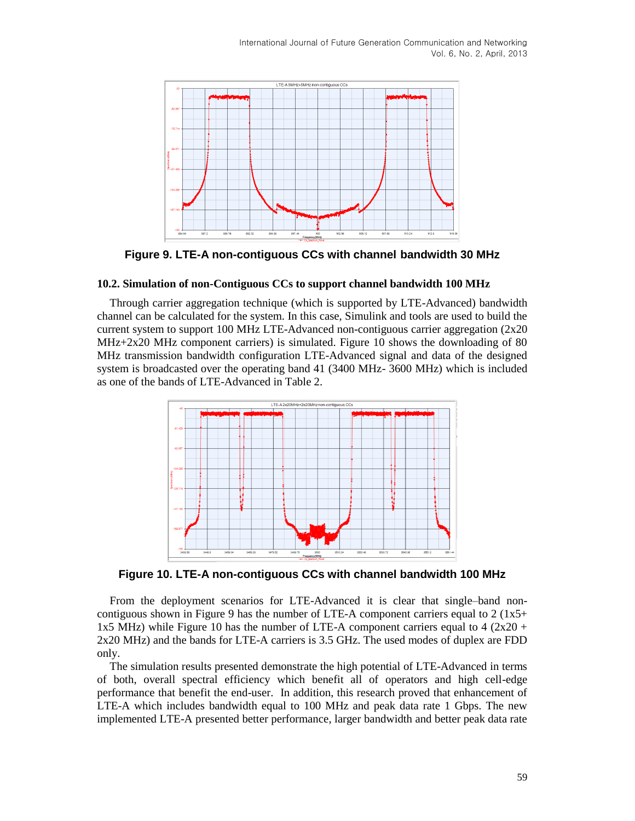International Journal of Future Generation Communication and Networking Vol. 6, No. 2, April, 2013



**Figure 9. LTE-A non-contiguous CCs with channel bandwidth 30 MHz**

#### **10.2. Simulation of non-Contiguous CCs to support channel bandwidth 100 MHz**

Through carrier aggregation technique (which is supported by LTE-Advanced) bandwidth channel can be calculated for the system. In this case, Simulink and tools are used to build the current system to support 100 MHz LTE-Advanced non-contiguous carrier aggregation (2x20 MHz+2x20 MHz component carriers) is simulated. Figure 10 shows the downloading of 80 MHz transmission bandwidth configuration LTE-Advanced signal and data of the designed system is broadcasted over the operating band 41 (3400 MHz- 3600 MHz) which is included as one of the bands of LTE-Advanced in Table 2.



**Figure 10. LTE-A non-contiguous CCs with channel bandwidth 100 MHz**

From the deployment scenarios for LTE-Advanced it is clear that single–band noncontiguous shown in Figure 9 has the number of LTE-A component carriers equal to  $2 (1x5+)$ 1x5 MHz) while Figure 10 has the number of LTE-A component carriers equal to 4 ( $2x20 +$ 2x20 MHz) and the bands for LTE-A carriers is 3.5 GHz. The used modes of duplex are FDD only.

The simulation results presented demonstrate the high potential of LTE-Advanced in terms of both, overall spectral efficiency which benefit all of operators and high cell-edge performance that benefit the end-user. In addition, this research proved that enhancement of LTE-A which includes bandwidth equal to 100 MHz and peak data rate 1 Gbps. The new implemented LTE-A presented better performance, larger bandwidth and better peak data rate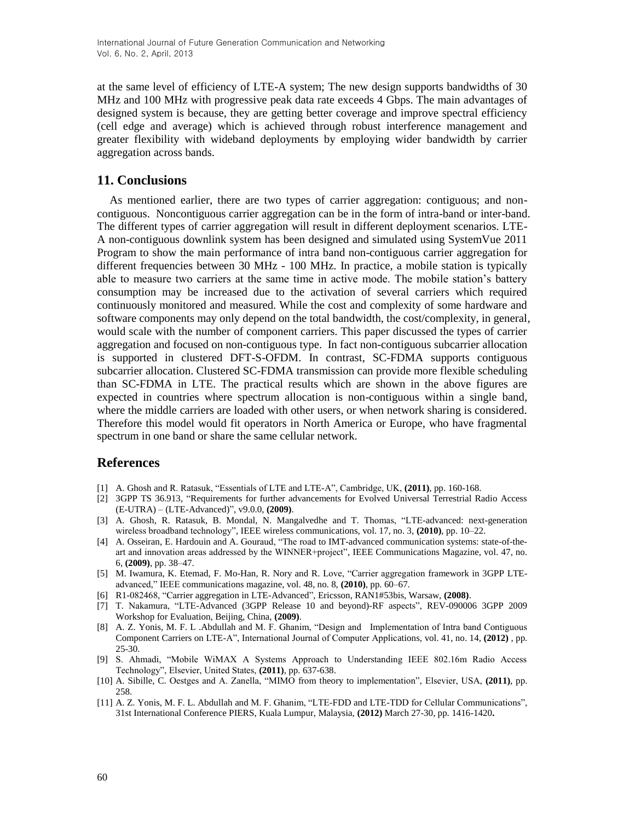at the same level of efficiency of LTE-A system; The new design supports bandwidths of 30 MHz and 100 MHz with progressive peak data rate exceeds 4 Gbps. The main advantages of designed system is because, they are getting better coverage and improve spectral efficiency (cell edge and average) which is achieved through robust interference management and greater flexibility with wideband deployments by employing wider bandwidth by carrier aggregation across bands.

## **11. Conclusions**

As mentioned earlier, there are two types of carrier aggregation: contiguous; and noncontiguous. Noncontiguous carrier aggregation can be in the form of intra-band or inter-band. The different types of carrier aggregation will result in different deployment scenarios. LTE-A non-contiguous downlink system has been designed and simulated using SystemVue 2011 Program to show the main performance of intra band non-contiguous carrier aggregation for different frequencies between 30 MHz - 100 MHz. In practice, a mobile station is typically able to measure two carriers at the same time in active mode. The mobile station's battery consumption may be increased due to the activation of several carriers which required continuously monitored and measured. While the cost and complexity of some hardware and software components may only depend on the total bandwidth, the cost/complexity, in general, would scale with the number of component carriers. This paper discussed the types of carrier aggregation and focused on non-contiguous type. In fact non-contiguous subcarrier allocation is supported in clustered DFT-S-OFDM. In contrast, SC-FDMA supports contiguous subcarrier allocation. Clustered SC-FDMA transmission can provide more flexible scheduling than SC-FDMA in LTE. The practical results which are shown in the above figures are expected in countries where spectrum allocation is non-contiguous within a single band, where the middle carriers are loaded with other users, or when network sharing is considered. Therefore this model would fit operators in North America or Europe, who have fragmental spectrum in one band or share the same cellular network.

### **References**

- [1] A. Ghosh and R. Ratasuk, "Essentials of LTE and LTE-A", Cambridge, UK, **(2011)**, pp. 160-168.
- [2] 3GPP TS 36.913, "Requirements for further advancements for Evolved Universal Terrestrial Radio Access (E-UTRA) – (LTE-Advanced)", v9.0.0, **(2009)**.
- [3] A. Ghosh, R. Ratasuk, B. Mondal, N. Mangalvedhe and T. Thomas, "LTE-advanced: next-generation wireless broadband technology", IEEE wireless communications, vol. 17, no. 3, **(2010)**, pp. 10–22.
- [4] A. Osseiran, E. Hardouin and A. Gouraud, "The road to IMT-advanced communication systems: state-of-theart and innovation areas addressed by the WINNER+project", IEEE Communications Magazine, vol. 47, no. 6, **(2009)**, pp. 38–47.
- [5] M. Iwamura, K. Etemad, F. Mo-Han, R. Nory and R. Love, "Carrier aggregation framework in 3GPP LTEadvanced," IEEE communications magazine, vol. 48, no. 8, **(2010)**, pp. 60–67.
- [6] R1-082468, "Carrier aggregation in LTE-Advanced", Ericsson, RAN1#53bis, Warsaw, **(2008)**.
- [7] T. Nakamura, "LTE-Advanced (3GPP Release 10 and beyond)-RF aspects", REV-090006 3GPP 2009 Workshop for Evaluation, Beijing, China, **(2009)**.
- [8] A. Z. Yonis, M. F. L .Abdullah and M. F. Ghanim, "Design and Implementation of Intra band Contiguous Component Carriers on LTE-A", International Journal of Computer Applications, vol. 41, no. 14, **(2012)** , pp. 25-30.
- [9] S. Ahmadi, "Mobile WiMAX A Systems Approach to Understanding IEEE 802.16m Radio Access Technology", Elsevier, United States, **(2011)**, pp. 637-638.
- [10] A. Sibille, C. Oestges and A. Zanella, "MIMO from theory to implementation", Elsevier, USA, **(2011)**, pp. 258.
- [11] A. Z. Yonis, M. F. L. Abdullah and M. F. Ghanim, "LTE-FDD and LTE-TDD for Cellular Communications", 31st International Conference PIERS, Kuala Lumpur, Malaysia, **(2012)** March 27-30, pp. 1416-1420**.**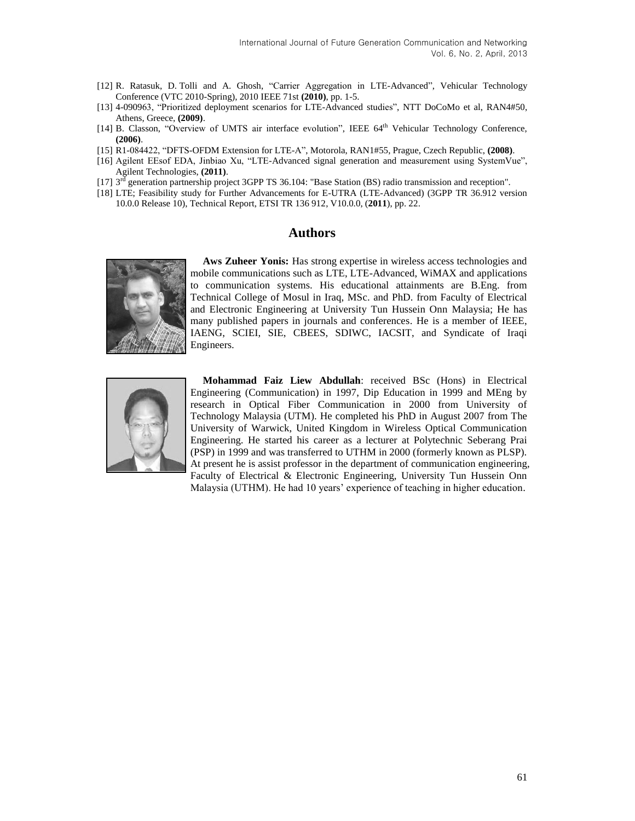- [12] R. Ratasuk, D. Tolli and A. Ghosh, "Carrier Aggregation in LTE-Advanced", [Vehicular Technology](http://ieeexplore.ieee.org/xpl/mostRecentIssue.jsp?punumber=5492959)  [Conference \(VTC 2010-Spring\), 2010 IEEE 71st](http://ieeexplore.ieee.org/xpl/mostRecentIssue.jsp?punumber=5492959) **(2010)**, pp. 1-5.
- [13] 4-090963, "Prioritized deployment scenarios for LTE-Advanced studies", NTT DoCoMo et al, RAN4#50, Athens, Greece, **(2009)**.
- [14] B. Classon, "Overview of UMTS air interface evolution", IEEE 64th Vehicular Technology Conference, **(2006)**.
- [15] R1-084422, "DFTS-OFDM Extension for LTE-A", Motorola, RAN1#55, Prague, Czech Republic, **(2008)**.
- [16] Agilent EEsof EDA, Jinbiao Xu, "LTE-Advanced signal generation and measurement using SystemVue", Agilent Technologies, **(2011)**.
- [17] 3<sup>rd</sup> generation partnership project 3GPP TS 36.104: "Base Station (BS) radio transmission and reception".
- [18] LTE; Feasibility study for Further Advancements for E-UTRA (LTE-Advanced) (3GPP TR 36.912 version 10.0.0 Release 10), Technical Report, ETSI TR 136 912, V10.0.0, (**2011**), pp. 22.

#### **Authors**



**Aws Zuheer Yonis:** Has strong expertise in wireless access technologies and mobile communications such as LTE, LTE-Advanced, WiMAX and applications to communication systems. His educational attainments are B.Eng. from Technical College of Mosul in Iraq, MSc. and PhD. from Faculty of Electrical and Electronic Engineering at University Tun Hussein Onn Malaysia; He has many published papers in journals and conferences. He is a member of IEEE, IAENG, SCIEI, SIE, CBEES, SDIWC, IACSIT, and Syndicate of Iraqi Engineers.



**Mohammad Faiz Liew Abdullah**: received BSc (Hons) in Electrical Engineering (Communication) in 1997, Dip Education in 1999 and MEng by research in Optical Fiber Communication in 2000 from University of Technology Malaysia (UTM). He completed his PhD in August 2007 from The University of Warwick, United Kingdom in Wireless Optical Communication Engineering. He started his career as a lecturer at Polytechnic Seberang Prai (PSP) in 1999 and was transferred to UTHM in 2000 (formerly known as PLSP). At present he is assist professor in the department of communication engineering, Faculty of Electrical & Electronic Engineering, University Tun Hussein Onn Malaysia (UTHM). He had 10 years' experience of teaching in higher education.